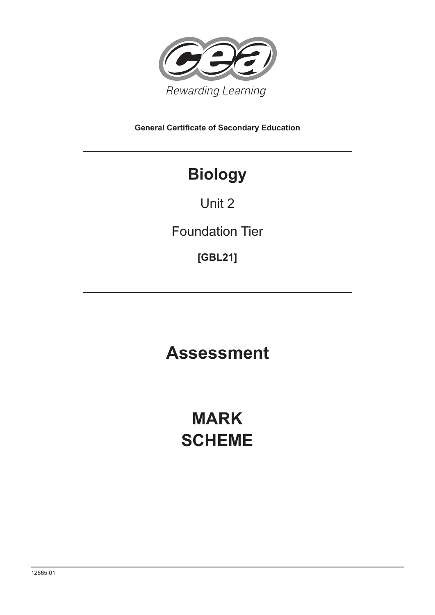

**General Certificate of Secondary Education**

## **Biology**

Unit 2

Foundation Tier

**[GBL21]**

**Assessment**

**MARK SCHEME**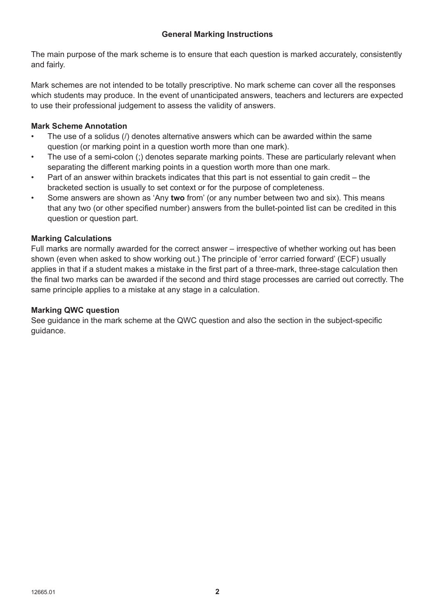The main purpose of the mark scheme is to ensure that each question is marked accurately, consistently and fairly.

Mark schemes are not intended to be totally prescriptive. No mark scheme can cover all the responses which students may produce. In the event of unanticipated answers, teachers and lecturers are expected to use their professional judgement to assess the validity of answers.

## **Mark Scheme Annotation**

- The use of a solidus (/) denotes alternative answers which can be awarded within the same question (or marking point in a question worth more than one mark).
- The use of a semi-colon (;) denotes separate marking points. These are particularly relevant when separating the different marking points in a question worth more than one mark.
- Part of an answer within brackets indicates that this part is not essential to gain credit the bracketed section is usually to set context or for the purpose of completeness.
- Some answers are shown as 'Any **two** from' (or any number between two and six). This means that any two (or other specified number) answers from the bullet-pointed list can be credited in this question or question part.

## **Marking Calculations**

Full marks are normally awarded for the correct answer – irrespective of whether working out has been shown (even when asked to show working out.) The principle of 'error carried forward' (ECF) usually applies in that if a student makes a mistake in the first part of a three-mark, three-stage calculation then the final two marks can be awarded if the second and third stage processes are carried out correctly. The same principle applies to a mistake at any stage in a calculation.

## **Marking QWC question**

See guidance in the mark scheme at the QWC question and also the section in the subject-specific guidance.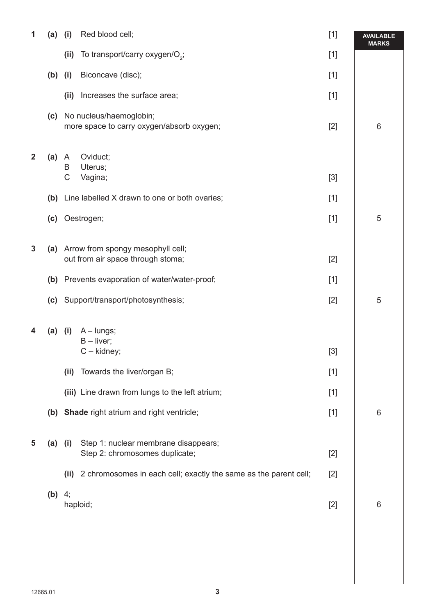| 1            | (a) | Red blood cell;<br>(i)                                                              | $[1]$ | <b>AVAILABLE</b><br><b>MARKS</b> |
|--------------|-----|-------------------------------------------------------------------------------------|-------|----------------------------------|
|              |     | (ii)<br>To transport/carry oxygen/O <sub>2</sub> ;                                  | $[1]$ |                                  |
|              |     | $(b)$ (i)<br>Biconcave (disc);                                                      | $[1]$ |                                  |
|              |     | Increases the surface area;<br>(ii)                                                 | $[1]$ |                                  |
|              | (c) | No nucleus/haemoglobin;<br>more space to carry oxygen/absorb oxygen;                | $[2]$ | 6                                |
| $\mathbf{2}$ | (a) | Oviduct;<br>$\mathsf{A}$<br>Uterus;<br>B<br>C<br>Vagina;                            | $[3]$ |                                  |
|              |     |                                                                                     |       |                                  |
|              |     | (b) Line labelled X drawn to one or both ovaries;                                   | $[1]$ |                                  |
|              | (c) | Oestrogen;                                                                          | $[1]$ | 5                                |
| $\mathbf 3$  |     | (a) Arrow from spongy mesophyll cell;<br>out from air space through stoma;          | $[2]$ |                                  |
|              | (b) | Prevents evaporation of water/water-proof;                                          | $[1]$ |                                  |
|              |     | (c) Support/transport/photosynthesis;                                               | $[2]$ | 5                                |
| 4            | (a) | $A - lungs;$<br>(i)                                                                 |       |                                  |
|              |     | $B - liver;$<br>$C -$ kidney;                                                       | $[3]$ |                                  |
|              |     | Towards the liver/organ B;<br>(ii)                                                  | $[1]$ |                                  |
|              |     | (iii) Line drawn from lungs to the left atrium;                                     | $[1]$ |                                  |
|              |     | (b) Shade right atrium and right ventricle;                                         | $[1]$ | 6                                |
| 5            |     | Step 1: nuclear membrane disappears;<br>$(a)$ (i)<br>Step 2: chromosomes duplicate; | $[2]$ |                                  |
|              |     | 2 chromosomes in each cell; exactly the same as the parent cell;<br>(ii)            | $[2]$ |                                  |
|              | (b) | 4;<br>haploid;                                                                      | $[2]$ | 6                                |
|              |     |                                                                                     |       |                                  |
|              |     |                                                                                     |       |                                  |
|              |     |                                                                                     |       |                                  |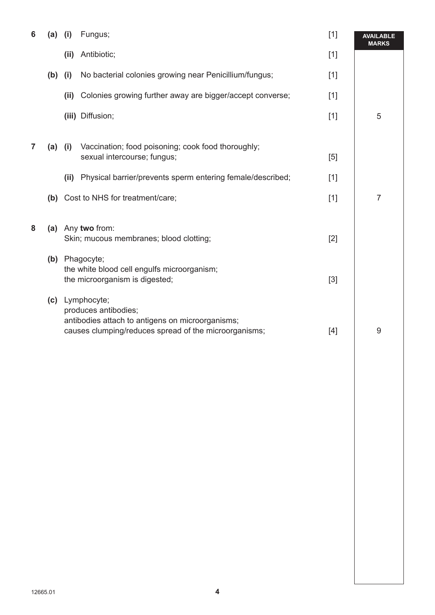| 6 | (a)       | (i)  | Fungus;                                                                                                                                              | $[1]$ | <b>AVAILABLE</b><br><b>MARKS</b> |
|---|-----------|------|------------------------------------------------------------------------------------------------------------------------------------------------------|-------|----------------------------------|
|   |           | (i)  | Antibiotic;                                                                                                                                          | $[1]$ |                                  |
|   | $(b)$ (i) |      | No bacterial colonies growing near Penicillium/fungus;                                                                                               | $[1]$ |                                  |
|   |           | (ii) | Colonies growing further away are bigger/accept converse;                                                                                            | $[1]$ |                                  |
|   |           |      | (iii) Diffusion;                                                                                                                                     | $[1]$ | 5                                |
| 7 | $(a)$ (i) |      | Vaccination; food poisoning; cook food thoroughly;<br>sexual intercourse; fungus;                                                                    | [5]   |                                  |
|   |           | (ii) | Physical barrier/prevents sperm entering female/described;                                                                                           | $[1]$ |                                  |
|   |           |      | (b) Cost to NHS for treatment/care;                                                                                                                  | $[1]$ | $\overline{7}$                   |
| 8 |           |      | (a) Any two from:<br>Skin; mucous membranes; blood clotting;<br>(b) Phagocyte;                                                                       | $[2]$ |                                  |
|   |           |      | the white blood cell engulfs microorganism;<br>the microorganism is digested;                                                                        | $[3]$ |                                  |
|   |           |      | (c) Lymphocyte;<br>produces antibodies;<br>antibodies attach to antigens on microorganisms;<br>causes clumping/reduces spread of the microorganisms; | $[4]$ | 9                                |
|   |           |      |                                                                                                                                                      |       |                                  |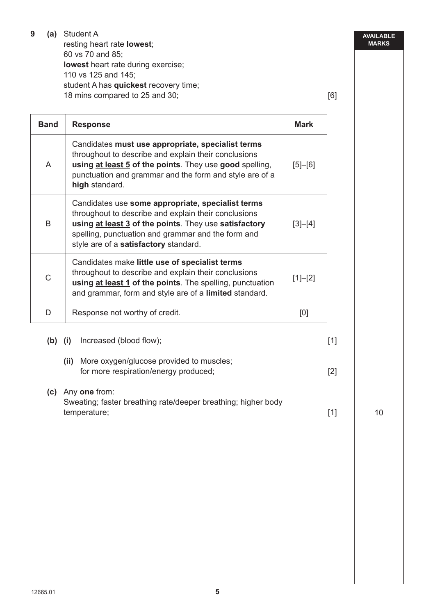| 9 | Student A                             |     |
|---|---------------------------------------|-----|
|   | resting heart rate <b>lowest</b> ;    |     |
|   | 60 vs 70 and 85;                      |     |
|   | lowest heart rate during exercise;    |     |
|   | 110 vs 125 and 145;                   |     |
|   | student A has quickest recovery time; |     |
|   | 18 mins compared to 25 and 30;        | [6] |

**Band** Response Mark A Candidates **must use appropriate, specialist terms** throughout to describe and explain their conclusions **using at least 5 of the points**. They use **good** spelling, punctuation and grammar and the form and style are of a **high** standard. [5]–[6] B Candidates use **some appropriate, specialist terms** throughout to describe and explain their conclusions **using at least 3 of the points**. They use **satisfactory** spelling, punctuation and grammar and the form and style are of a **satisfactory** standard. [3]–[4]  $\overline{C}$ Candidates make **little use of specialist terms** throughout to describe and explain their conclusions **using at least 1 of the points**. The spelling, punctuation and grammar, form and style are of a **limited** standard.  $[1]-[2]$ D Response not worthy of credit.

**(b) (i)** Increased (blood flow); [1]  **(ii)** More oxygen/glucose provided to muscles; for more respiration/energy produced; [2] **(c)** Any **one** from: Sweating; faster breathing rate/deeper breathing; higher body temperature; [1]

**5**

10

**AVAILABLE MARKS**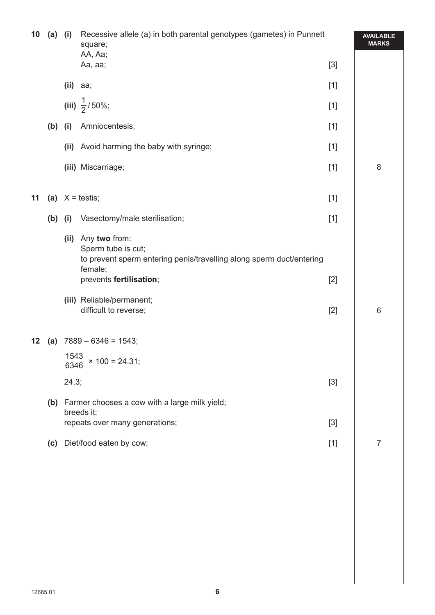| 10 | $(a)$ (i) | Recessive allele (a) in both parental genotypes (gametes) in Punnett<br>square;<br>AA, Aa; |                                                                                                                        |       | <b>AVAILABLE</b><br><b>MARKS</b> |
|----|-----------|--------------------------------------------------------------------------------------------|------------------------------------------------------------------------------------------------------------------------|-------|----------------------------------|
|    |           |                                                                                            | Aa, aa;                                                                                                                | $[3]$ |                                  |
|    |           |                                                                                            | $(ii)$ aa;                                                                                                             | $[1]$ |                                  |
|    |           |                                                                                            | (iii) $\frac{1}{2}$ /50%;                                                                                              | $[1]$ |                                  |
|    | $(b)$ (i) |                                                                                            | Amniocentesis;                                                                                                         | $[1]$ |                                  |
|    |           | (ii)                                                                                       | Avoid harming the baby with syringe;                                                                                   | $[1]$ |                                  |
|    |           |                                                                                            | (iii) Miscarriage;                                                                                                     | $[1]$ | 8                                |
| 11 |           |                                                                                            | (a) $X = \text{testis}$ ;                                                                                              | $[1]$ |                                  |
|    | $(b)$ (i) |                                                                                            | Vasectomy/male sterilisation;                                                                                          | $[1]$ |                                  |
|    |           | (ii)                                                                                       | Any two from:<br>Sperm tube is cut;<br>to prevent sperm entering penis/travelling along sperm duct/entering<br>female; |       |                                  |
|    |           |                                                                                            | prevents fertilisation;                                                                                                | $[2]$ |                                  |
|    |           |                                                                                            | (iii) Reliable/permanent;<br>difficult to reverse;                                                                     | $[2]$ | $\,$ 6 $\,$                      |
| 12 |           |                                                                                            | (a) $7889 - 6346 = 1543$ ;                                                                                             |       |                                  |
|    |           |                                                                                            | $\frac{1543}{6346}$ × 100 = 24.31;                                                                                     |       |                                  |
|    |           | 24.3;                                                                                      |                                                                                                                        | $[3]$ |                                  |
|    |           |                                                                                            | (b) Farmer chooses a cow with a large milk yield;<br>breeds it;                                                        |       |                                  |
|    |           |                                                                                            | repeats over many generations;                                                                                         | $[3]$ |                                  |
|    |           |                                                                                            | (c) Diet/food eaten by cow;                                                                                            | $[1]$ | 7                                |
|    |           |                                                                                            |                                                                                                                        |       |                                  |
|    |           |                                                                                            |                                                                                                                        |       |                                  |
|    |           |                                                                                            |                                                                                                                        |       |                                  |
|    |           |                                                                                            |                                                                                                                        |       |                                  |
|    |           |                                                                                            |                                                                                                                        |       |                                  |